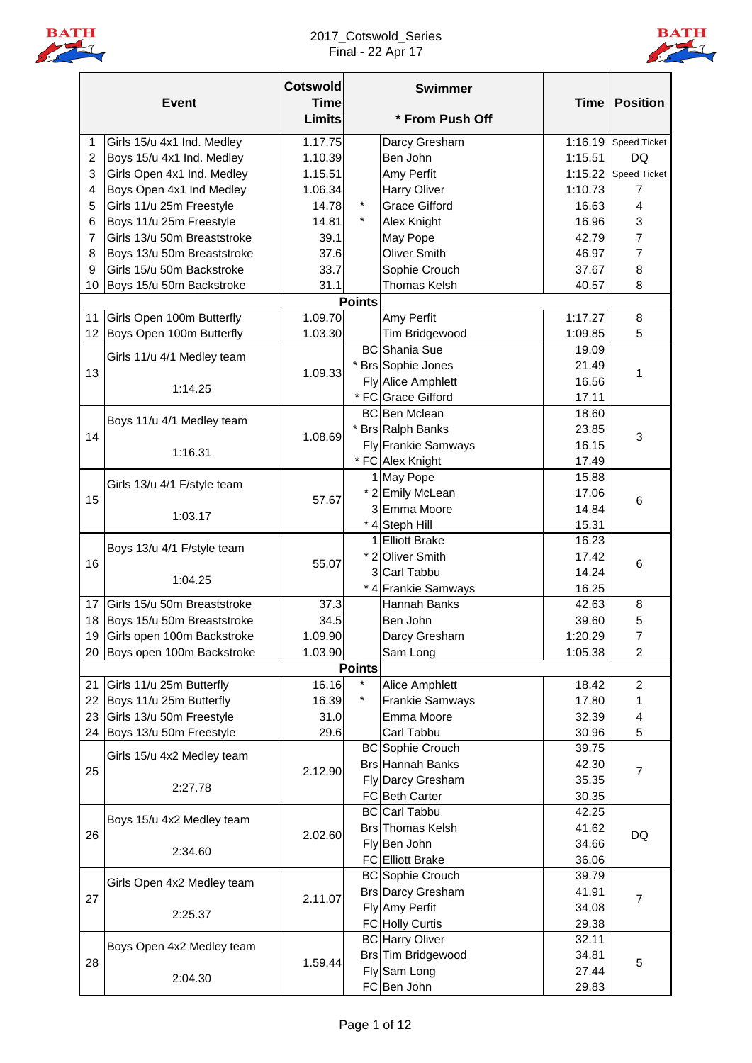

## 2017\_Cotswold\_Series Final - 22 Apr 17



|                | <b>Event</b>                  | <b>Cotswold</b><br><b>Time</b><br><b>Limits</b> |               | <b>Swimmer</b><br>* From Push Off      |         | <b>Time Position</b> |
|----------------|-------------------------------|-------------------------------------------------|---------------|----------------------------------------|---------|----------------------|
| 1              | Girls 15/u 4x1 Ind. Medley    | 1.17.75                                         |               | Darcy Gresham                          | 1:16.19 | <b>Speed Ticket</b>  |
| $\overline{c}$ | Boys 15/u 4x1 Ind. Medley     | 1.10.39                                         |               | Ben John                               | 1:15.51 | DQ                   |
| 3              | Girls Open 4x1 Ind. Medley    | 1.15.51                                         |               | Amy Perfit                             | 1:15.22 | <b>Speed Ticket</b>  |
| 4              | Boys Open 4x1 Ind Medley      | 1.06.34                                         |               | Harry Oliver                           | 1:10.73 | 7                    |
| 5              | Girls 11/u 25m Freestyle      | 14.78                                           | $\star$       | <b>Grace Gifford</b>                   | 16.63   | $\overline{4}$       |
| 6              | Boys 11/u 25m Freestyle       | 14.81                                           |               | Alex Knight                            | 16.96   | 3                    |
| 7              | Girls 13/u 50m Breaststroke   | 39.1                                            |               | May Pope                               | 42.79   | 7                    |
| 8              | Boys 13/u 50m Breaststroke    | 37.6                                            |               | <b>Oliver Smith</b>                    | 46.97   | 7                    |
| 9              | Girls 15/u 50m Backstroke     | 33.7                                            |               | Sophie Crouch                          | 37.67   | 8                    |
| 10             | Boys 15/u 50m Backstroke      | 31.1                                            |               | <b>Thomas Kelsh</b>                    | 40.57   | 8                    |
|                |                               |                                                 | <b>Points</b> |                                        |         |                      |
| 11             | Girls Open 100m Butterfly     | 1.09.70                                         |               | Amy Perfit                             | 1:17.27 | 8                    |
| 12             |                               | 1.03.30                                         |               |                                        |         |                      |
|                | Boys Open 100m Butterfly      |                                                 |               | Tim Bridgewood<br><b>BC</b> Shania Sue | 1:09.85 | 5                    |
|                | Girls 11/u 4/1 Medley team    |                                                 |               |                                        | 19.09   |                      |
| 13             |                               | 1.09.33                                         |               | * Brs Sophie Jones                     | 21.49   | 1                    |
|                | 1:14.25                       |                                                 |               | <b>Fly Alice Amphlett</b>              | 16.56   |                      |
|                |                               |                                                 |               | * FC Grace Gifford                     | 17.11   |                      |
|                | Boys 11/u 4/1 Medley team     |                                                 |               | <b>BC</b> Ben Mclean                   | 18.60   |                      |
| 14             |                               | 1.08.69                                         |               | * Brs Ralph Banks                      | 23.85   | 3                    |
|                | 1:16.31                       |                                                 |               | <b>Fly Frankie Samways</b>             | 16.15   |                      |
|                |                               |                                                 |               | * FC Alex Knight                       | 17.49   |                      |
|                | Girls 13/u 4/1 F/style team   |                                                 |               | 1 May Pope                             | 15.88   |                      |
| 15             |                               | 57.67                                           |               | * 2 Emily McLean                       | 17.06   | 6                    |
|                | 1:03.17                       |                                                 |               | 3 Emma Moore                           | 14.84   |                      |
|                |                               |                                                 |               | * 4 Steph Hill                         | 15.31   |                      |
|                | Boys 13/u 4/1 F/style team    |                                                 |               | 1 Elliott Brake                        | 16.23   |                      |
| 16             |                               | 55.07                                           |               | * 2 Oliver Smith                       | 17.42   | 6                    |
|                | 1:04.25                       |                                                 |               | 3 Carl Tabbu                           | 14.24   |                      |
|                |                               |                                                 |               | * 4 Frankie Samways                    | 16.25   |                      |
| 17             | Girls 15/u 50m Breaststroke   | 37.3                                            |               | Hannah Banks                           | 42.63   | 8                    |
| 18             | Boys 15/u 50m Breaststroke    | 34.5                                            |               | Ben John                               | 39.60   | 5                    |
|                | 19 Girls open 100m Backstroke | 1.09.90                                         |               | Darcy Gresham                          | 1:20.29 | $\overline{7}$       |
|                | 20 Boys open 100m Backstroke  | 1.03.90                                         |               | Sam Long                               | 1:05.38 | $\overline{c}$       |
|                |                               |                                                 | <b>Points</b> |                                        |         |                      |
| 21             | Girls 11/u 25m Butterfly      | 16.16                                           | $\star$       | Alice Amphlett                         | 18.42   | $\overline{2}$       |
| 22             | Boys 11/u 25m Butterfly       | 16.39                                           | $\star$       | <b>Frankie Samways</b>                 | 17.80   | 1                    |
| 23             | Girls 13/u 50m Freestyle      | 31.0                                            |               | Emma Moore                             | 32.39   | 4                    |
| 24             | Boys 13/u 50m Freestyle       | 29.6                                            |               | Carl Tabbu                             | 30.96   | 5                    |
|                |                               |                                                 |               | <b>BC</b> Sophie Crouch                | 39.75   |                      |
|                | Girls 15/u 4x2 Medley team    |                                                 |               | <b>Brs Hannah Banks</b>                | 42.30   |                      |
| 25             |                               | 2.12.90                                         |               | Fly Darcy Gresham                      | 35.35   | $\overline{7}$       |
|                | 2:27.78                       |                                                 |               | FC Beth Carter                         | 30.35   |                      |
|                |                               |                                                 |               | <b>BC</b> Carl Tabbu                   | 42.25   |                      |
|                | Boys 15/u 4x2 Medley team     |                                                 |               | <b>Brs</b> Thomas Kelsh                | 41.62   |                      |
| 26             |                               | 2.02.60                                         |               | Fly Ben John                           | 34.66   | DQ                   |
|                | 2:34.60                       |                                                 |               | <b>FC</b> Elliott Brake                | 36.06   |                      |
|                |                               |                                                 |               | <b>BC</b> Sophie Crouch                | 39.79   |                      |
|                | Girls Open 4x2 Medley team    |                                                 |               |                                        |         |                      |
| 27             |                               | 2.11.07                                         |               | <b>Brs Darcy Gresham</b>               | 41.91   | 7                    |
|                | 2:25.37                       |                                                 |               | Fly Amy Perfit                         | 34.08   |                      |
|                |                               |                                                 |               | FC Holly Curtis                        | 29.38   |                      |
|                | Boys Open 4x2 Medley team     |                                                 |               | <b>BC</b> Harry Oliver                 | 32.11   |                      |
| 28             |                               | 1.59.44                                         |               | Brs Tim Bridgewood                     | 34.81   | 5                    |
|                | 2:04.30                       |                                                 |               | Fly Sam Long                           | 27.44   |                      |
|                |                               |                                                 |               | FC Ben John                            | 29.83   |                      |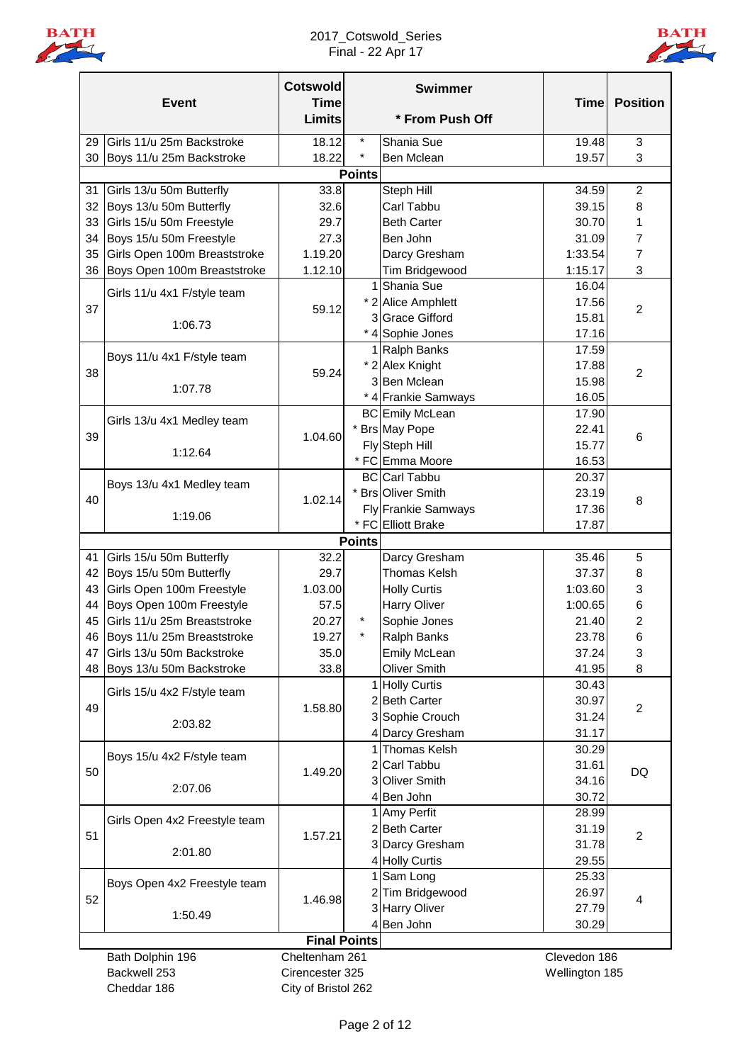

## 2017\_Cotswold\_Series Final - 22 Apr 17



|    |                               | <b>Cotswold</b>              |               | <b>Swimmer</b>         |                |                 |
|----|-------------------------------|------------------------------|---------------|------------------------|----------------|-----------------|
|    | <b>Event</b>                  | <b>Time</b><br><b>Limits</b> |               | * From Push Off        | <b>Time</b>    | <b>Position</b> |
| 29 | Girls 11/u 25m Backstroke     | 18.12                        | $\star$       | Shania Sue             | 19.48          | 3               |
| 30 | Boys 11/u 25m Backstroke      | 18.22                        | $\star$       | <b>Ben Mclean</b>      | 19.57          | 3               |
|    |                               |                              | <b>Points</b> |                        |                |                 |
| 31 | Girls 13/u 50m Butterfly      | 33.8                         |               | Steph Hill             | 34.59          | $\overline{2}$  |
| 32 | Boys 13/u 50m Butterfly       | 32.6                         |               | Carl Tabbu             | 39.15          | 8               |
| 33 | Girls 15/u 50m Freestyle      | 29.7                         |               | <b>Beth Carter</b>     | 30.70          | 1               |
| 34 | Boys 15/u 50m Freestyle       | 27.3                         |               | Ben John               | 31.09          | $\overline{7}$  |
| 35 | Girls Open 100m Breaststroke  | 1.19.20                      |               | Darcy Gresham          | 1:33.54        | $\overline{7}$  |
| 36 | Boys Open 100m Breaststroke   | 1.12.10                      |               | Tim Bridgewood         | 1:15.17        | 3               |
|    | Girls 11/u 4x1 F/style team   |                              |               | 1 Shania Sue           | 16.04          |                 |
| 37 |                               | 59.12                        |               | * 2 Alice Amphlett     | 17.56          | $\overline{2}$  |
|    | 1:06.73                       |                              |               | 3 Grace Gifford        | 15.81          |                 |
|    |                               |                              |               | * 4 Sophie Jones       | 17.16          |                 |
|    | Boys 11/u 4x1 F/style team    |                              |               | 1 Ralph Banks          | 17.59          |                 |
| 38 |                               | 59.24                        |               | * 2 Alex Knight        | 17.88          | $\overline{2}$  |
|    | 1:07.78                       |                              |               | 3 Ben Mclean           | 15.98          |                 |
|    |                               |                              |               | * 4 Frankie Samways    | 16.05          |                 |
|    | Girls 13/u 4x1 Medley team    |                              |               | <b>BC</b> Emily McLean | 17.90          |                 |
| 39 |                               | 1.04.60                      |               | * Brs May Pope         | 22.41          | 6               |
|    | 1:12.64                       |                              |               | Fly Steph Hill         | 15.77          |                 |
|    |                               |                              |               | * FC Emma Moore        | 16.53          |                 |
|    | Boys 13/u 4x1 Medley team     |                              |               | <b>BC</b> Carl Tabbu   | 20.37          |                 |
| 40 |                               | 1.02.14                      |               | * Brs Oliver Smith     | 23.19          | 8               |
|    | 1:19.06                       |                              |               | Fly Frankie Samways    | 17.36          |                 |
|    |                               |                              | <b>Points</b> | * FC Elliott Brake     | 17.87          |                 |
| 41 | Girls 15/u 50m Butterfly      | 32.2                         |               | Darcy Gresham          | 35.46          | 5               |
| 42 | Boys 15/u 50m Butterfly       | 29.7                         |               | Thomas Kelsh           | 37.37          | 8               |
| 43 | Girls Open 100m Freestyle     | 1.03.00                      |               | <b>Holly Curtis</b>    | 1:03.60        | 3               |
| 44 | Boys Open 100m Freestyle      | 57.5                         |               | <b>Harry Oliver</b>    | 1:00.65        | 6               |
| 45 | Girls 11/u 25m Breaststroke   | 20.27                        | $\star$       | Sophie Jones           | 21.40          | 2               |
|    | 46 Boys 11/u 25m Breaststroke | 19.27                        |               | Ralph Banks            | 23.78          | 6               |
| 47 | Girls 13/u 50m Backstroke     | 35.0                         |               | <b>Emily McLean</b>    | 37.24          | 3               |
|    | 48 Boys 13/u 50m Backstroke   | 33.8                         |               | Oliver Smith           | 41.95          | 8               |
|    |                               |                              |               | 1 Holly Curtis         | 30.43          |                 |
|    | Girls 15/u 4x2 F/style team   |                              |               | 2 Beth Carter          | 30.97          |                 |
| 49 |                               | 1.58.80                      |               | 3 Sophie Crouch        | 31.24          | $\overline{2}$  |
|    | 2:03.82                       |                              |               | 4 Darcy Gresham        | 31.17          |                 |
|    |                               |                              |               | 1 Thomas Kelsh         | 30.29          |                 |
|    | Boys 15/u 4x2 F/style team    |                              |               | 2 Carl Tabbu           | 31.61          |                 |
| 50 |                               | 1.49.20                      |               | 3 Oliver Smith         | 34.16          | DQ              |
|    | 2:07.06                       |                              |               | 4 Ben John             | 30.72          |                 |
|    |                               |                              |               | 1 Amy Perfit           | 28.99          |                 |
| 51 | Girls Open 4x2 Freestyle team | 1.57.21                      |               | 2 Beth Carter          | 31.19          | $\overline{2}$  |
|    | 2:01.80                       |                              |               | 3 Darcy Gresham        | 31.78          |                 |
|    |                               |                              |               | 4 Holly Curtis         | 29.55          |                 |
|    | Boys Open 4x2 Freestyle team  |                              |               | 1 Sam Long             | 25.33          |                 |
| 52 |                               | 1.46.98                      |               | 2 Tim Bridgewood       | 26.97          | 4               |
|    | 1:50.49                       |                              |               | 3 Harry Oliver         | 27.79          |                 |
|    |                               |                              |               | 4 Ben John             | 30.29          |                 |
|    |                               | <b>Final Points</b>          |               |                        |                |                 |
|    | Bath Dolphin 196              | Cheltenham 261               |               |                        | Clevedon 186   |                 |
|    | Backwell 253                  | Cirencester 325              |               |                        | Wellington 185 |                 |
|    | Cheddar 186                   | City of Bristol 262          |               |                        |                |                 |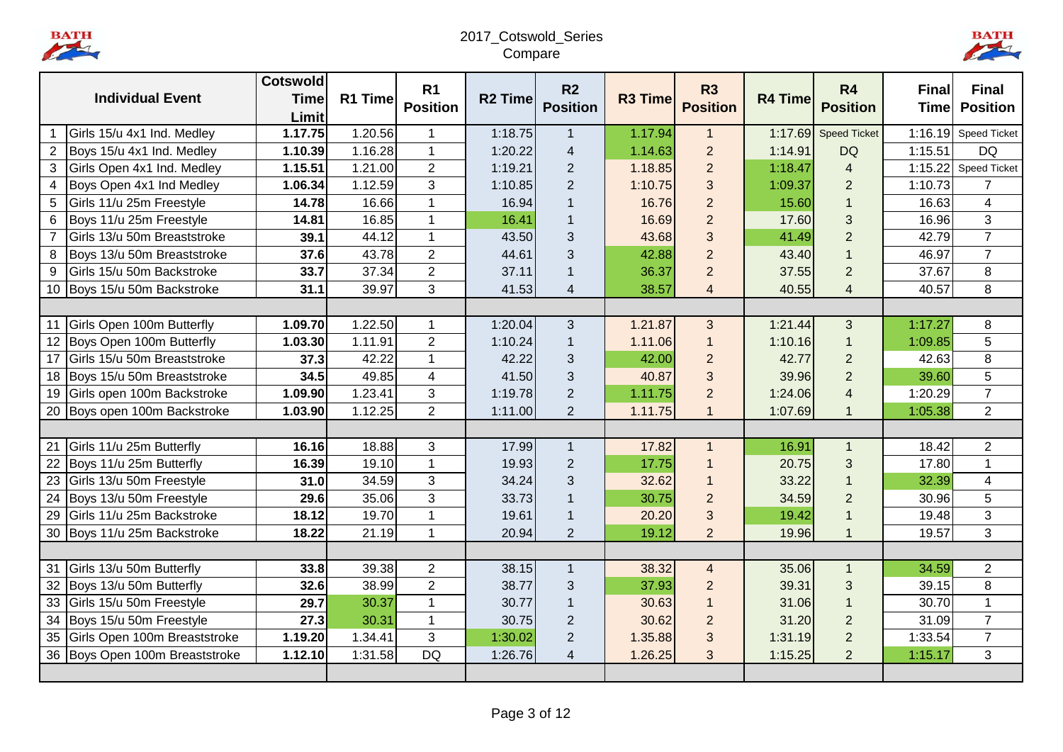BATH

# 2017\_Cotswold\_Series Compare



|                |                                | <b>Cotswold</b>  |         | R <sub>1</sub>       |                | R <sub>2</sub>          |                | <b>R3</b>       |                | <b>R4</b>               | <b>Final</b> | <b>Final</b>        |
|----------------|--------------------------------|------------------|---------|----------------------|----------------|-------------------------|----------------|-----------------|----------------|-------------------------|--------------|---------------------|
|                | <b>Individual Event</b>        | <b>Time</b>      | R1 Time | <b>Position</b>      | <b>R2 Time</b> | <b>Position</b>         | <b>R3 Time</b> | <b>Position</b> | <b>R4 Time</b> | <b>Position</b>         | <b>Time</b>  | <b>Position</b>     |
|                | Girls 15/u 4x1 Ind. Medley     | Limit<br>1.17.75 | 1.20.56 | $\mathbf 1$          | 1:18.75        | $\mathbf{1}$            | 1.17.94        | $\mathbf{1}$    | 1:17.69        | <b>Speed Ticket</b>     | 1:16.19      | <b>Speed Ticket</b> |
|                |                                |                  | 1.16.28 | $\mathbf{1}$         |                |                         |                | $\overline{2}$  |                |                         | 1:15.51      | <b>DQ</b>           |
| $\overline{2}$ | Boys 15/u 4x1 Ind. Medley      | 1.10.39          |         |                      | 1:20.22        | $\overline{\mathbf{4}}$ | 1.14.63        |                 | 1:14.91        | <b>DQ</b>               |              |                     |
| 3              | Girls Open 4x1 Ind. Medley     | 1.15.51          | 1.21.00 | $\overline{2}$       | 1:19.21        | 2                       | 1.18.85        | $\overline{2}$  | 1:18.47        | $\overline{4}$          | 1:15.22      | <b>Speed Ticket</b> |
| 4              | Boys Open 4x1 Ind Medley       | 1.06.34          | 1.12.59 | 3                    | 1:10.85        | $\overline{2}$          | 1:10.75        | 3               | 1:09.37        | $\overline{2}$          | 1:10.73      | $\overline{7}$      |
| 5              | Girls 11/u 25m Freestyle       | 14.78            | 16.66   | $\mathbf{1}$         | 16.94          | $\mathbf{1}$            | 16.76          | $\overline{2}$  | 15.60          | $\mathbf{1}$            | 16.63        | $\overline{4}$      |
| 6              | Boys 11/u 25m Freestyle        | 14.81            | 16.85   | $\mathbf{1}$         | 16.41          | $\overline{1}$          | 16.69          | $\overline{2}$  | 17.60          | 3                       | 16.96        | 3                   |
| $\overline{7}$ | Girls 13/u 50m Breaststroke    | 39.1             | 44.12   | $\mathbf{1}$         | 43.50          | 3                       | 43.68          | 3               | 41.49          | $\overline{2}$          | 42.79        | $\overline{7}$      |
| 8              | Boys 13/u 50m Breaststroke     | 37.6             | 43.78   | $\overline{2}$       | 44.61          | 3                       | 42.88          | $\overline{2}$  | 43.40          | $\overline{1}$          | 46.97        | $\overline{7}$      |
| 9              | Girls 15/u 50m Backstroke      | 33.7             | 37.34   | $\overline{2}$       | 37.11          | $\overline{1}$          | 36.37          | $\overline{2}$  | 37.55          | $\overline{2}$          | 37.67        | 8                   |
|                | 10 Boys 15/u 50m Backstroke    | 31.1             | 39.97   | 3                    | 41.53          | $\overline{\mathbf{4}}$ | 38.57          | $\overline{4}$  | 40.55          | $\overline{4}$          | 40.57        | 8                   |
|                |                                |                  |         |                      |                |                         |                |                 |                |                         |              |                     |
|                | 11 Girls Open 100m Butterfly   | 1.09.70          | 1.22.50 | $\mathbf{1}$         | 1:20.04        | 3                       | 1.21.87        | 3               | 1:21.44        | 3                       | 1:17.27      | 8                   |
|                | 12 Boys Open 100m Butterfly    | 1.03.30          | 1.11.91 | $\overline{2}$       | 1:10.24        | $\mathbf{1}$            | 1.11.06        | $\overline{1}$  | 1:10.16        | $\mathbf{1}$            | 1:09.85      | 5                   |
| 17             | Girls 15/u 50m Breaststroke    | 37.3             | 42.22   | $\mathbf{1}$         | 42.22          | 3                       | 42.00          | $\overline{2}$  | 42.77          | $\overline{2}$          | 42.63        | 8                   |
| 18             | Boys 15/u 50m Breaststroke     | 34.5             | 49.85   | $\overline{4}$       | 41.50          | 3                       | 40.87          | 3               | 39.96          | $\overline{2}$          | 39.60        | 5                   |
| 19             | Girls open 100m Backstroke     | 1.09.90          | 1.23.41 | 3                    | 1:19.78        | $\sqrt{2}$              | 1.11.75        | $\overline{2}$  | 1:24.06        | $\overline{\mathbf{4}}$ | 1:20.29      | $\overline{7}$      |
|                | 20 Boys open 100m Backstroke   | 1.03.90          | 1.12.25 | 2                    | 1:11.00        | $\overline{2}$          | 1.11.75        | $\overline{1}$  | 1:07.69        | $\mathbf 1$             | 1:05.38      | $\overline{2}$      |
|                |                                |                  |         |                      |                |                         |                |                 |                |                         |              |                     |
| 21             | Girls 11/u 25m Butterfly       | 16.16            | 18.88   | 3                    | 17.99          | $\mathbf{1}$            | 17.82          | $\overline{1}$  | 16.91          | $\mathbf{1}$            | 18.42        | $\overline{2}$      |
| 22             | Boys 11/u 25m Butterfly        | 16.39            | 19.10   | $\blacktriangleleft$ | 19.93          | $\overline{2}$          | 17.75          | $\overline{1}$  | 20.75          | 3                       | 17.80        | $\mathbf{1}$        |
| 23             | Girls 13/u 50m Freestyle       | 31.0             | 34.59   | 3                    | 34.24          | $\mathbf{3}$            | 32.62          | $\overline{1}$  | 33.22          | $\overline{1}$          | 32.39        | $\overline{4}$      |
| 24             | Boys 13/u 50m Freestyle        | 29.6             | 35.06   | 3                    | 33.73          | $\overline{1}$          | 30.75          | $\overline{2}$  | 34.59          | $\overline{2}$          | 30.96        | 5                   |
| 29             | Girls 11/u 25m Backstroke      | 18.12            | 19.70   | $\overline{1}$       | 19.61          | $\mathbf{1}$            | 20.20          | 3               | 19.42          |                         | 19.48        | 3                   |
|                | 30 Boys 11/u 25m Backstroke    | 18.22            | 21.19   | 1                    | 20.94          | $\overline{2}$          | 19.12          | $\overline{2}$  | 19.96          | 1                       | 19.57        | 3                   |
|                |                                |                  |         |                      |                |                         |                |                 |                |                         |              |                     |
| 31             | Girls 13/u 50m Butterfly       | 33.8             | 39.38   | $\overline{2}$       | 38.15          | $\mathbf{1}$            | 38.32          | $\overline{4}$  | 35.06          | $\mathbf{1}$            | 34.59        | $\overline{2}$      |
|                | 32 Boys 13/u 50m Butterfly     | 32.6             | 38.99   | $\overline{2}$       | 38.77          | $\mathbf{3}$            | 37.93          | $\overline{2}$  | 39.31          | 3                       | 39.15        | 8                   |
| 33             | Girls 15/u 50m Freestyle       | 29.7             | 30.37   | $\mathbf{1}$         | 30.77          | $\mathbf{1}$            | 30.63          | $\overline{1}$  | 31.06          | $\mathbf{1}$            | 30.70        | $\mathbf 1$         |
|                | 34 Boys 15/u 50m Freestyle     | 27.3             | 30.31   | $\mathbf{1}$         | 30.75          | $\overline{2}$          | 30.62          | $\overline{2}$  | 31.20          | $\overline{2}$          | 31.09        | $\overline{7}$      |
| 35             | Girls Open 100m Breaststroke   | 1.19.20          | 1.34.41 | 3                    | 1:30.02        | $\sqrt{2}$              | 1.35.88        | 3               | 1:31.19        | $\overline{2}$          | 1:33.54      | $\overline{7}$      |
|                | 36 Boys Open 100m Breaststroke | 1.12.10          | 1:31.58 | <b>DQ</b>            | 1:26.76        | $\overline{4}$          | 1.26.25        | 3               | 1:15.25        | $\overline{2}$          | 1:15.17      | 3                   |
|                |                                |                  |         |                      |                |                         |                |                 |                |                         |              |                     |
|                |                                |                  |         |                      |                |                         |                |                 |                |                         |              |                     |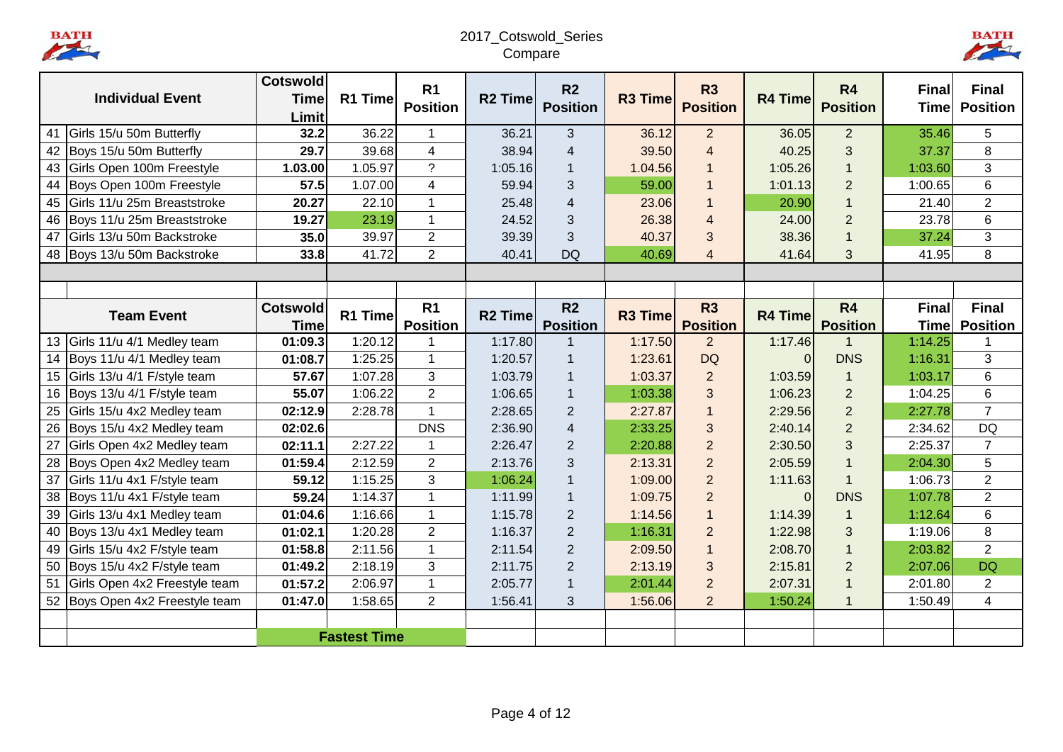BATH

# 2017\_Cotswold\_Series Compare



|    |                                 | <b>Cotswold</b> |                     | R <sub>1</sub>          |                | R <sub>2</sub>  |                | <b>R3</b>       |                | <b>R4</b>       | <b>Final</b> | <b>Final</b>    |
|----|---------------------------------|-----------------|---------------------|-------------------------|----------------|-----------------|----------------|-----------------|----------------|-----------------|--------------|-----------------|
|    | <b>Individual Event</b>         | <b>Time</b>     | R1 Time             | <b>Position</b>         | <b>R2 Time</b> | <b>Position</b> | <b>R3 Time</b> | <b>Position</b> | <b>R4 Time</b> | <b>Position</b> | <b>Time</b>  | <b>Position</b> |
|    |                                 | Limit           |                     |                         |                |                 |                |                 |                |                 |              |                 |
| 41 | Girls 15/u 50m Butterfly        | 32.2            | 36.22               | $\mathbf{1}$            | 36.21          | 3               | 36.12          | $\overline{2}$  | 36.05          | $\overline{2}$  | 35.46        | 5               |
| 42 | Boys 15/u 50m Butterfly         | 29.7            | 39.68               | $\overline{\mathbf{4}}$ | 38.94          | $\overline{4}$  | 39.50          | $\overline{4}$  | 40.25          | 3               | 37.37        | 8               |
| 43 | Girls Open 100m Freestyle       | 1.03.00         | 1.05.97             | $\overline{?}$          | 1:05.16        | $\mathbf{1}$    | 1.04.56        | $\overline{1}$  | 1:05.26        | 1               | 1:03.60      | 3               |
|    | 44 Boys Open 100m Freestyle     | 57.5            | 1.07.00             | $\overline{4}$          | 59.94          | 3               | 59.00          | 1               | 1:01.13        | $\overline{2}$  | 1:00.65      | 6               |
| 45 | Girls 11/u 25m Breaststroke     | 20.27           | 22.10               | $\overline{1}$          | 25.48          | $\overline{4}$  | 23.06          | $\overline{1}$  | 20.90          |                 | 21.40        | $\overline{2}$  |
| 46 | Boys 11/u 25m Breaststroke      | 19.27           | 23.19               | $\mathbf{1}$            | 24.52          | 3               | 26.38          | $\overline{4}$  | 24.00          | $\overline{2}$  | 23.78        | $6\phantom{1}$  |
| 47 | Girls 13/u 50m Backstroke       | 35.0            | 39.97               | $\overline{2}$          | 39.39          | 3               | 40.37          | 3               | 38.36          | 1               | 37.24        | 3               |
|    | 48 Boys 13/u 50m Backstroke     | 33.8            | 41.72               | $\overline{2}$          | 40.41          | <b>DQ</b>       | 40.69          | $\overline{4}$  | 41.64          | 3               | 41.95        | 8               |
|    |                                 |                 |                     |                         |                |                 |                |                 |                |                 |              |                 |
|    |                                 |                 |                     |                         |                |                 |                |                 |                |                 |              |                 |
|    | <b>Team Event</b>               | <b>Cotswold</b> | R1 Time             | R <sub>1</sub>          | <b>R2 Time</b> | R <sub>2</sub>  | <b>R3 Time</b> | <b>R3</b>       | <b>R4 Time</b> | R <sub>4</sub>  | <b>Final</b> | <b>Final</b>    |
|    |                                 | <b>Time</b>     |                     | <b>Position</b>         |                | <b>Position</b> |                | <b>Position</b> |                | <b>Position</b> | Timel        | <b>Position</b> |
|    | 13 Girls 11/u 4/1 Medley team   | 01:09.3         | 1:20.12             | 1                       | 1:17.80        | $\mathbf{1}$    | 1:17.50        | $\overline{2}$  | 1:17.46        |                 | 1:14.25      |                 |
|    | 14 Boys 11/u 4/1 Medley team    | 01:08.7         | 1:25.25             | $\mathbf{1}$            | 1:20.57        | $\overline{1}$  | 1:23.61        | <b>DQ</b>       | $\Omega$       | <b>DNS</b>      | 1:16.31      | 3               |
| 15 | Girls 13/u 4/1 F/style team     | 57.67           | 1:07.28             | 3                       | 1:03.79        | $\overline{1}$  | 1:03.37        | $\overline{2}$  | 1:03.59        | $\mathbf{1}$    | 1:03.17      | 6               |
|    | 16 Boys 13/u 4/1 F/style team   | 55.07           | 1:06.22             | $\overline{2}$          | 1:06.65        | $\overline{1}$  | 1:03.38        | 3               | 1:06.23        | $\overline{2}$  | 1:04.25      | 6               |
| 25 | Girls 15/u 4x2 Medley team      | 02:12.9         | 2:28.78             | $\overline{1}$          | 2:28.65        | $\overline{2}$  | 2:27.87        | $\overline{1}$  | 2:29.56        | $\overline{2}$  | 2:27.78      | $\overline{7}$  |
| 26 | Boys 15/u 4x2 Medley team       | 02:02.6         |                     | <b>DNS</b>              | 2:36.90        | 4               | 2:33.25        | 3               | 2:40.14        | $\overline{2}$  | 2:34.62      | <b>DQ</b>       |
| 27 | Girls Open 4x2 Medley team      | 02:11.1         | 2:27.22             | $\mathbf{1}$            | 2:26.47        | $\overline{2}$  | 2:20.88        | $\overline{2}$  | 2:30.50        | 3               | 2:25.37      | $\overline{7}$  |
| 28 | Boys Open 4x2 Medley team       | 01:59.4         | 2:12.59             | $\overline{2}$          | 2:13.76        | 3               | 2:13.31        | $\overline{2}$  | 2:05.59        | $\mathbf 1$     | 2:04.30      | 5               |
| 37 | Girls 11/u 4x1 F/style team     | 59.12           | 1:15.25             | 3                       | 1:06.24        | $\overline{1}$  | 1:09.00        | $\overline{2}$  | 1:11.63        | $\overline{1}$  | 1:06.73      | $\overline{2}$  |
| 38 | Boys 11/u 4x1 F/style team      | 59.24           | 1:14.37             | $\mathbf{1}$            | 1:11.99        | $\mathbf{1}$    | 1:09.75        | $\overline{2}$  | $\Omega$       | <b>DNS</b>      | 1:07.78      | $\overline{2}$  |
| 39 | Girls 13/u 4x1 Medley team      | 01:04.6         | 1:16.66             | $\mathbf{1}$            | 1:15.78        | $\overline{2}$  | 1:14.56        | $\overline{1}$  | 1:14.39        | $\mathbf{1}$    | 1:12.64      | 6               |
|    | 40 Boys 13/u 4x1 Medley team    | 01:02.1         | 1:20.28             | $\overline{2}$          | 1:16.37        | $\overline{2}$  | 1:16.31        | $\overline{2}$  | 1:22.98        | 3               | 1:19.06      | 8               |
| 49 | Girls 15/u 4x2 F/style team     | 01:58.8         | 2:11.56             | $\mathbf{1}$            | 2:11.54        | $\overline{2}$  | 2:09.50        | $\overline{1}$  | 2:08.70        |                 | 2:03.82      | $\overline{2}$  |
| 50 | Boys 15/u 4x2 F/style team      | 01:49.2         | 2:18.19             | 3                       | 2:11.75        | $\overline{2}$  | 2:13.19        | 3               | 2:15.81        | $\overline{2}$  | 2:07.06      | <b>DQ</b>       |
| 51 | Girls Open 4x2 Freestyle team   | 01:57.2         | 2:06.97             | $\mathbf{1}$            | 2:05.77        | $\overline{1}$  | 2:01.44        | $\overline{2}$  | 2:07.31        |                 | 2:01.80      | $\overline{2}$  |
|    | 52 Boys Open 4x2 Freestyle team | 01:47.0         | 1:58.65             | $\overline{2}$          | 1:56.41        | 3               | 1:56.06        | $\overline{2}$  | 1:50.24        | $\mathbf 1$     | 1:50.49      | $\overline{4}$  |
|    |                                 |                 |                     |                         |                |                 |                |                 |                |                 |              |                 |
|    |                                 |                 | <b>Fastest Time</b> |                         |                |                 |                |                 |                |                 |              |                 |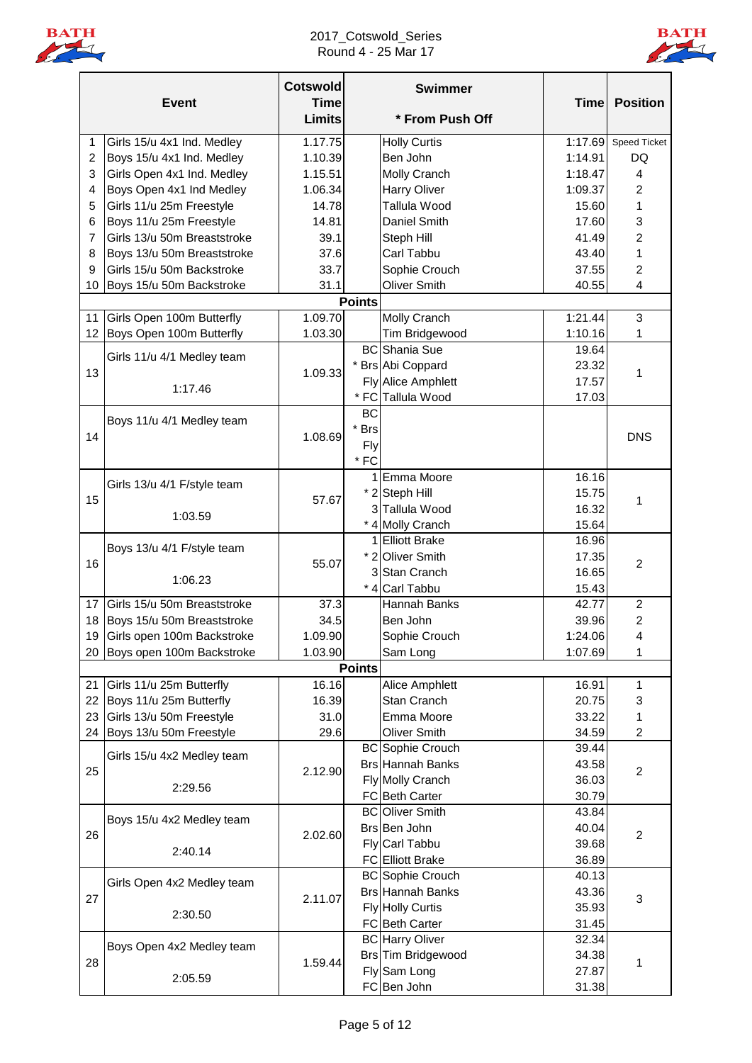

### 2017\_Cotswold\_Series Round 4 - 25 Mar 17



|                | <b>Event</b>                  | <b>Cotswold</b><br><b>Time</b><br><b>Limits</b> |               | <b>Swimmer</b><br>* From Push Off | <b>Time</b> | <b>Position</b>         |
|----------------|-------------------------------|-------------------------------------------------|---------------|-----------------------------------|-------------|-------------------------|
|                |                               |                                                 |               |                                   |             |                         |
| 1              | Girls 15/u 4x1 Ind. Medley    | 1.17.75                                         |               | <b>Holly Curtis</b>               | 1:17.69     | <b>Speed Ticket</b>     |
| $\overline{c}$ | Boys 15/u 4x1 Ind. Medley     | 1.10.39                                         |               | Ben John                          | 1:14.91     | DQ                      |
| 3              | Girls Open 4x1 Ind. Medley    | 1.15.51                                         |               | <b>Molly Cranch</b>               | 1:18.47     | 4                       |
| 4              | Boys Open 4x1 Ind Medley      | 1.06.34                                         |               | Harry Oliver                      | 1:09.37     | 2                       |
| 5              | Girls 11/u 25m Freestyle      | 14.78                                           |               | Tallula Wood                      | 15.60       | 1                       |
| 6              | Boys 11/u 25m Freestyle       | 14.81                                           |               | Daniel Smith                      | 17.60       | 3                       |
| $\overline{7}$ | Girls 13/u 50m Breaststroke   | 39.1                                            |               | Steph Hill                        | 41.49       | 2                       |
| 8              | Boys 13/u 50m Breaststroke    | 37.6                                            |               | Carl Tabbu                        | 43.40       | 1                       |
| 9              | Girls 15/u 50m Backstroke     | 33.7                                            |               | Sophie Crouch                     | 37.55       | $\overline{2}$          |
| 10             | Boys 15/u 50m Backstroke      | 31.1                                            |               | Oliver Smith                      | 40.55       | $\overline{\mathbf{4}}$ |
|                |                               |                                                 | <b>Points</b> |                                   |             |                         |
| 11             | Girls Open 100m Butterfly     | 1.09.70                                         |               | Molly Cranch                      | 1:21.44     | 3                       |
| 12             | Boys Open 100m Butterfly      | 1.03.30                                         |               | Tim Bridgewood                    | 1:10.16     | 1                       |
|                | Girls 11/u 4/1 Medley team    |                                                 |               | <b>BC</b> Shania Sue              | 19.64       |                         |
| 13             |                               | 1.09.33                                         |               | * Brs Abi Coppard                 | 23.32       | 1                       |
|                | 1:17.46                       |                                                 |               | <b>Fly Alice Amphlett</b>         | 17.57       |                         |
|                |                               |                                                 |               | * FC Tallula Wood                 | 17.03       |                         |
|                | Boys 11/u 4/1 Medley team     |                                                 | <b>BC</b>     |                                   |             |                         |
|                |                               | 1.08.69                                         | * Brs         |                                   |             |                         |
| 14             |                               |                                                 | Fly           |                                   |             | <b>DNS</b>              |
|                |                               |                                                 | $*$ FC        |                                   |             |                         |
|                |                               |                                                 |               | 1 Emma Moore                      | 16.16       |                         |
|                | Girls 13/u 4/1 F/style team   |                                                 |               | * 2 Steph Hill                    | 15.75       |                         |
| 15             |                               | 57.67                                           |               | 3 Tallula Wood                    | 16.32       | 1                       |
|                | 1:03.59                       |                                                 |               | * 4 Molly Cranch                  | 15.64       |                         |
|                |                               |                                                 |               | 1 Elliott Brake                   | 16.96       |                         |
|                | Boys 13/u 4/1 F/style team    |                                                 |               | * 2 Oliver Smith                  | 17.35       |                         |
| 16             |                               | 55.07                                           |               | 3 Stan Cranch                     | 16.65       | $\overline{c}$          |
|                | 1:06.23                       |                                                 |               | * 4 Carl Tabbu                    | 15.43       |                         |
| 17             | Girls 15/u 50m Breaststroke   | 37.3                                            |               | Hannah Banks                      | 42.77       | $\overline{c}$          |
| 18             | Boys 15/u 50m Breaststroke    | 34.5                                            |               | Ben John                          | 39.96       | $\overline{2}$          |
|                | 19 Girls open 100m Backstroke | 1.09.90                                         |               | Sophie Crouch                     | 1:24.06     | 4                       |
|                | 20 Boys open 100m Backstroke  | 1.03.90                                         |               | Sam Long                          | 1:07.69     | 1                       |
|                |                               |                                                 | <b>Points</b> |                                   |             |                         |
| 21             | Girls 11/u 25m Butterfly      | 16.16                                           |               | Alice Amphlett                    | 16.91       | 1                       |
| 22             | Boys 11/u 25m Butterfly       | 16.39                                           |               | Stan Cranch                       | 20.75       | 3                       |
| 23             | Girls 13/u 50m Freestyle      | 31.0                                            |               | Emma Moore                        | 33.22       | 1                       |
|                | 24 Boys 13/u 50m Freestyle    | 29.6                                            |               | Oliver Smith                      | 34.59       | $\overline{c}$          |
|                |                               |                                                 |               | <b>BC</b> Sophie Crouch           | 39.44       |                         |
|                | Girls 15/u 4x2 Medley team    |                                                 |               | <b>Brs Hannah Banks</b>           | 43.58       |                         |
| 25             |                               | 2.12.90                                         |               | Fly Molly Cranch                  | 36.03       | $\overline{c}$          |
|                | 2:29.56                       |                                                 |               | FC Beth Carter                    | 30.79       |                         |
|                |                               |                                                 |               | <b>BC</b> Oliver Smith            | 43.84       |                         |
|                | Boys 15/u 4x2 Medley team     |                                                 |               | Brs Ben John                      | 40.04       |                         |
| 26             |                               | 2.02.60                                         |               | Fly Carl Tabbu                    | 39.68       | $\overline{c}$          |
|                | 2:40.14                       |                                                 |               | <b>FC</b> Elliott Brake           | 36.89       |                         |
|                |                               |                                                 |               | <b>BC</b> Sophie Crouch           | 40.13       |                         |
|                | Girls Open 4x2 Medley team    |                                                 |               | <b>Brs Hannah Banks</b>           | 43.36       |                         |
| 27             |                               | 2.11.07                                         |               | <b>Fly Holly Curtis</b>           | 35.93       | 3                       |
|                | 2:30.50                       |                                                 |               |                                   |             |                         |
|                |                               |                                                 |               | FC Beth Carter                    | 31.45       |                         |
|                | Boys Open 4x2 Medley team     |                                                 |               | <b>BC</b> Harry Oliver            | 32.34       |                         |
| 28             |                               | 1.59.44                                         |               | Brs Tim Bridgewood                | 34.38       | 1                       |
|                | 2:05.59                       |                                                 |               | Fly Sam Long                      | 27.87       |                         |
|                |                               |                                                 |               | FC Ben John                       | 31.38       |                         |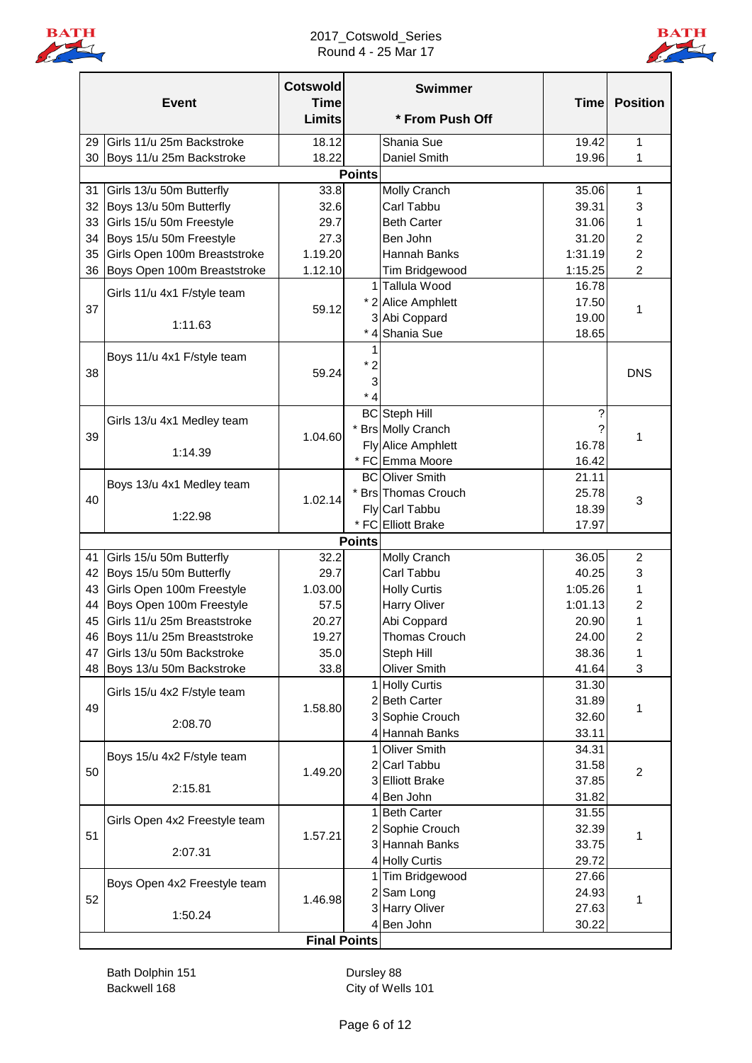



|    | <b>Event</b>                  | <b>Cotswold</b><br><b>Time</b><br><b>Limits</b> |               | <b>Swimmer</b><br>* From Push Off | <b>Time</b> | <b>Position</b>  |
|----|-------------------------------|-------------------------------------------------|---------------|-----------------------------------|-------------|------------------|
| 29 | Girls 11/u 25m Backstroke     | 18.12                                           |               | Shania Sue                        | 19.42       | $\mathbf{1}$     |
| 30 | Boys 11/u 25m Backstroke      | 18.22                                           |               | Daniel Smith                      | 19.96       | 1                |
|    |                               |                                                 | <b>Points</b> |                                   |             |                  |
| 31 | Girls 13/u 50m Butterfly      | 33.8                                            |               | Molly Cranch                      | 35.06       | 1                |
| 32 | Boys 13/u 50m Butterfly       | 32.6                                            |               | Carl Tabbu                        | 39.31       | 3                |
| 33 | Girls 15/u 50m Freestyle      | 29.7                                            |               | <b>Beth Carter</b>                | 31.06       | 1                |
| 34 | Boys 15/u 50m Freestyle       | 27.3                                            |               | Ben John                          | 31.20       | 2                |
| 35 | Girls Open 100m Breaststroke  | 1.19.20                                         |               | Hannah Banks                      | 1:31.19     | $\overline{c}$   |
| 36 | Boys Open 100m Breaststroke   | 1.12.10                                         |               | Tim Bridgewood                    | 1:15.25     | $\overline{2}$   |
|    |                               |                                                 |               | 1 Tallula Wood                    | 16.78       |                  |
|    | Girls 11/u 4x1 F/style team   |                                                 |               | * 2 Alice Amphlett                | 17.50       |                  |
| 37 |                               | 59.12                                           |               | 3 Abi Coppard                     | 19.00       | 1                |
|    | 1:11.63                       |                                                 |               | * 4 Shania Sue                    | 18.65       |                  |
|    |                               |                                                 |               |                                   |             |                  |
|    | Boys 11/u 4x1 F/style team    |                                                 | $*2$          |                                   |             |                  |
| 38 |                               | 59.24                                           | 3             |                                   |             | <b>DNS</b>       |
|    |                               |                                                 | * 4           |                                   |             |                  |
|    |                               |                                                 |               | <b>BC</b> Steph Hill              | ?           |                  |
|    | Girls 13/u 4x1 Medley team    |                                                 |               | <b>Brs Molly Cranch</b>           |             |                  |
| 39 |                               | 1.04.60                                         |               | <b>Fly Alice Amphlett</b>         | 16.78       | 1                |
|    | 1:14.39                       |                                                 |               | * FC Emma Moore                   | 16.42       |                  |
|    |                               |                                                 |               | <b>BC</b> Oliver Smith            | 21.11       |                  |
|    | Boys 13/u 4x1 Medley team     |                                                 |               | * Brs Thomas Crouch               | 25.78       |                  |
| 40 |                               | 1.02.14                                         |               | Fly Carl Tabbu                    | 18.39       | 3                |
|    | 1:22.98                       |                                                 |               | * FC Elliott Brake                | 17.97       |                  |
|    |                               |                                                 | <b>Points</b> |                                   |             |                  |
| 41 | Girls 15/u 50m Butterfly      | 32.2                                            |               | Molly Cranch                      | 36.05       | $\overline{c}$   |
| 42 | Boys 15/u 50m Butterfly       | 29.7                                            |               | Carl Tabbu                        | 40.25       | 3                |
| 43 | Girls Open 100m Freestyle     | 1.03.00                                         |               | <b>Holly Curtis</b>               | 1:05.26     | 1                |
| 44 | Boys Open 100m Freestyle      | 57.5                                            |               | Harry Oliver                      | 1:01.13     | 2                |
| 45 | Girls 11/u 25m Breaststroke   | 20.27                                           |               | Abi Coppard                       | 20.90       | 1                |
|    | 46 Boys 11/u 25m Breaststroke | 19.27                                           |               | Thomas Crouch                     | 24.00       | $\boldsymbol{2}$ |
| 47 | Girls 13/u 50m Backstroke     | 35.0                                            |               | Steph Hill                        | 38.36       | 1                |
| 48 | Boys 13/u 50m Backstroke      | 33.8                                            |               | <b>Oliver Smith</b>               | 41.64       | 3                |
|    | Girls 15/u 4x2 F/style team   |                                                 |               | 1 Holly Curtis                    | 31.30       |                  |
| 49 |                               | 1.58.80                                         |               | 2 Beth Carter                     | 31.89       | 1                |
|    |                               |                                                 |               | 3 Sophie Crouch                   | 32.60       |                  |
|    | 2:08.70                       |                                                 |               | 4 Hannah Banks                    | 33.11       |                  |
|    |                               |                                                 |               | 1 Oliver Smith                    | 34.31       |                  |
| 50 | Boys 15/u 4x2 F/style team    | 1.49.20                                         |               | 2 Carl Tabbu                      | 31.58       | $\overline{c}$   |
|    | 2:15.81                       |                                                 |               | 3 Elliott Brake                   | 37.85       |                  |
|    |                               |                                                 |               | 4 Ben John                        | 31.82       |                  |
|    | Girls Open 4x2 Freestyle team |                                                 |               | 1 Beth Carter                     | 31.55       |                  |
| 51 |                               | 1.57.21                                         |               | 2 Sophie Crouch                   | 32.39       | 1                |
|    | 2:07.31                       |                                                 |               | 3 Hannah Banks                    | 33.75       |                  |
|    |                               |                                                 |               | 4 Holly Curtis                    | 29.72       |                  |
|    | Boys Open 4x2 Freestyle team  |                                                 |               | 1 Tim Bridgewood                  | 27.66       |                  |
| 52 |                               | 1.46.98                                         |               | 2 Sam Long                        | 24.93       | 1                |
|    | 1:50.24                       |                                                 |               | 3 Harry Oliver                    | 27.63       |                  |
|    |                               |                                                 |               | 4Ben John                         | 30.22       |                  |
|    |                               | <b>Final Points</b>                             |               |                                   |             |                  |

Bath Dolphin 151 Dursley 88 Backwell 168 City of Wells 101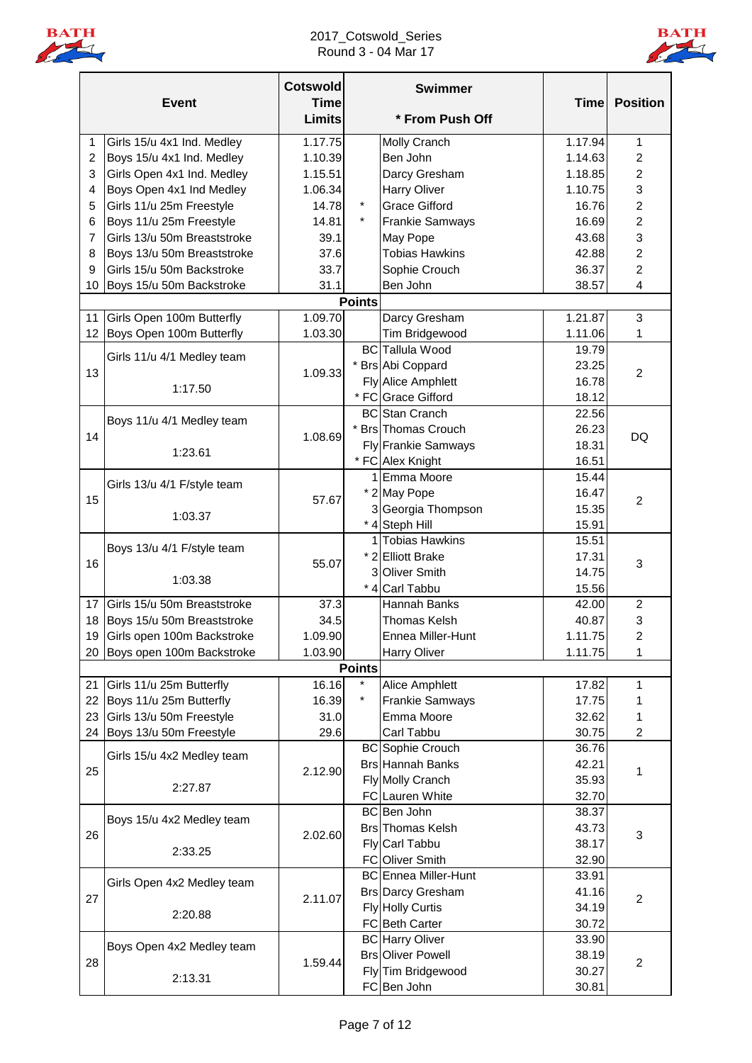

### 2017\_Cotswold\_Series Round 3 - 04 Mar 17



|                | <b>Event</b>                  | <b>Cotswold</b><br><b>Time</b> |               | <b>Swimmer</b>              | <b>Time</b> | <b>Position</b>         |
|----------------|-------------------------------|--------------------------------|---------------|-----------------------------|-------------|-------------------------|
|                |                               | <b>Limits</b>                  |               | * From Push Off             |             |                         |
| 1              | Girls 15/u 4x1 Ind. Medley    | 1.17.75                        |               | Molly Cranch                | 1.17.94     | 1                       |
| $\overline{2}$ | Boys 15/u 4x1 Ind. Medley     | 1.10.39                        |               | Ben John                    | 1.14.63     | $\overline{c}$          |
| 3              | Girls Open 4x1 Ind. Medley    | 1.15.51                        |               | Darcy Gresham               | 1.18.85     | $\overline{2}$          |
| 4              | Boys Open 4x1 Ind Medley      | 1.06.34                        |               | <b>Harry Oliver</b>         | 1.10.75     | 3                       |
| 5              | Girls 11/u 25m Freestyle      | 14.78                          | $\star$       | <b>Grace Gifford</b>        | 16.76       | $\overline{c}$          |
| 6              | Boys 11/u 25m Freestyle       | 14.81                          | $\star$       | <b>Frankie Samways</b>      | 16.69       | 2                       |
| 7              | Girls 13/u 50m Breaststroke   | 39.1                           |               | May Pope                    | 43.68       | 3                       |
| 8              | Boys 13/u 50m Breaststroke    | 37.6                           |               | <b>Tobias Hawkins</b>       | 42.88       | $\overline{c}$          |
| 9              | Girls 15/u 50m Backstroke     | 33.7                           |               | Sophie Crouch               | 36.37       | $\sqrt{2}$              |
| 10             | Boys 15/u 50m Backstroke      | 31.1                           |               | Ben John                    | 38.57       | $\overline{\mathbf{4}}$ |
|                |                               |                                | <b>Points</b> |                             |             |                         |
| 11             | Girls Open 100m Butterfly     | 1.09.70                        |               | Darcy Gresham               | 1.21.87     | 3                       |
| 12             | Boys Open 100m Butterfly      | 1.03.30                        |               | Tim Bridgewood              | 1.11.06     | 1                       |
|                |                               |                                |               | <b>BC</b> Tallula Wood      | 19.79       |                         |
| 13             | Girls 11/u 4/1 Medley team    | 1.09.33                        |               | * Brs Abi Coppard           | 23.25       |                         |
|                |                               |                                |               | Fly Alice Amphlett          | 16.78       | $\overline{2}$          |
|                | 1:17.50                       |                                |               | * FC Grace Gifford          | 18.12       |                         |
|                |                               |                                |               | <b>BC</b> Stan Cranch       | 22.56       |                         |
|                | Boys 11/u 4/1 Medley team     |                                |               | <b>Brs</b> Thomas Crouch    | 26.23       |                         |
| 14             |                               | 1.08.69                        |               | Fly Frankie Samways         | 18.31       | DQ                      |
|                | 1:23.61                       |                                |               | * FC Alex Knight            | 16.51       |                         |
|                |                               |                                |               | 1 Emma Moore                | 15.44       |                         |
|                | Girls 13/u 4/1 F/style team   |                                |               | * 2 May Pope                | 16.47       |                         |
| 15             |                               | 57.67                          |               | 3 Georgia Thompson          | 15.35       | $\overline{2}$          |
|                | 1:03.37                       |                                |               | * 4 Steph Hill              | 15.91       |                         |
|                |                               |                                |               | 1 Tobias Hawkins            | 15.51       |                         |
|                | Boys 13/u 4/1 F/style team    |                                |               | * 2 Elliott Brake           | 17.31       |                         |
| 16             |                               | 55.07                          |               | 3 Oliver Smith              | 14.75       | $\sqrt{3}$              |
|                | 1:03.38                       |                                |               | * 4 Carl Tabbu              | 15.56       |                         |
| 17             | Girls 15/u 50m Breaststroke   | 37.3                           |               | Hannah Banks                | 42.00       | $\boldsymbol{2}$        |
|                |                               |                                |               |                             |             |                         |
| 18             | Boys 15/u 50m Breaststroke    | 34.5                           |               | Thomas Kelsh                | 40.87       | 3<br>$\mathfrak{p}$     |
|                | 19 Girls open 100m Backstroke | 1.09.90                        |               | Ennea Miller-Hunt           | 1.11.75     |                         |
|                | 20 Boys open 100m Backstroke  | 1.03.90                        | <b>Points</b> | Harry Oliver                | 1.11.75     | 1                       |
| 21             | Girls 11/u 25m Butterfly      | 16.16                          | $\star$       | <b>Alice Amphlett</b>       | 17.82       | 1                       |
| 22             | Boys 11/u 25m Butterfly       | 16.39                          | $\star$       | <b>Frankie Samways</b>      | 17.75       |                         |
| 23             | Girls 13/u 50m Freestyle      | 31.0                           |               | Emma Moore                  | 32.62       | 1                       |
|                |                               |                                |               |                             |             | 1                       |
|                | 24 Boys 13/u 50m Freestyle    | 29.6                           |               | Carl Tabbu                  | 30.75       | $\overline{c}$          |
|                | Girls 15/u 4x2 Medley team    |                                |               | <b>BC</b> Sophie Crouch     | 36.76       |                         |
| 25             |                               | 2.12.90                        |               | <b>Brs Hannah Banks</b>     | 42.21       | 1                       |
|                | 2:27.87                       |                                |               | Fly Molly Cranch            | 35.93       |                         |
|                |                               |                                |               | FC Lauren White             | 32.70       |                         |
|                | Boys 15/u 4x2 Medley team     |                                |               | BC Ben John                 | 38.37       |                         |
| 26             |                               | 2.02.60                        |               | <b>Brs</b> Thomas Kelsh     | 43.73       | 3                       |
|                | 2:33.25                       |                                |               | Fly Carl Tabbu              | 38.17       |                         |
|                |                               |                                |               | FC Oliver Smith             | 32.90       |                         |
|                | Girls Open 4x2 Medley team    |                                |               | <b>BC</b> Ennea Miller-Hunt | 33.91       |                         |
| 27             |                               | 2.11.07                        |               | <b>Brs Darcy Gresham</b>    | 41.16       | $\overline{c}$          |
|                | 2:20.88                       |                                |               | <b>Fly Holly Curtis</b>     | 34.19       |                         |
|                |                               |                                |               | FC Beth Carter              | 30.72       |                         |
|                | Boys Open 4x2 Medley team     |                                |               | <b>BC</b> Harry Oliver      | 33.90       |                         |
| 28             |                               | 1.59.44                        |               | <b>Brs Oliver Powell</b>    | 38.19       | $\sqrt{2}$              |
|                | 2:13.31                       |                                |               | Fly Tim Bridgewood          | 30.27       |                         |
|                |                               |                                |               | FC Ben John                 | 30.81       |                         |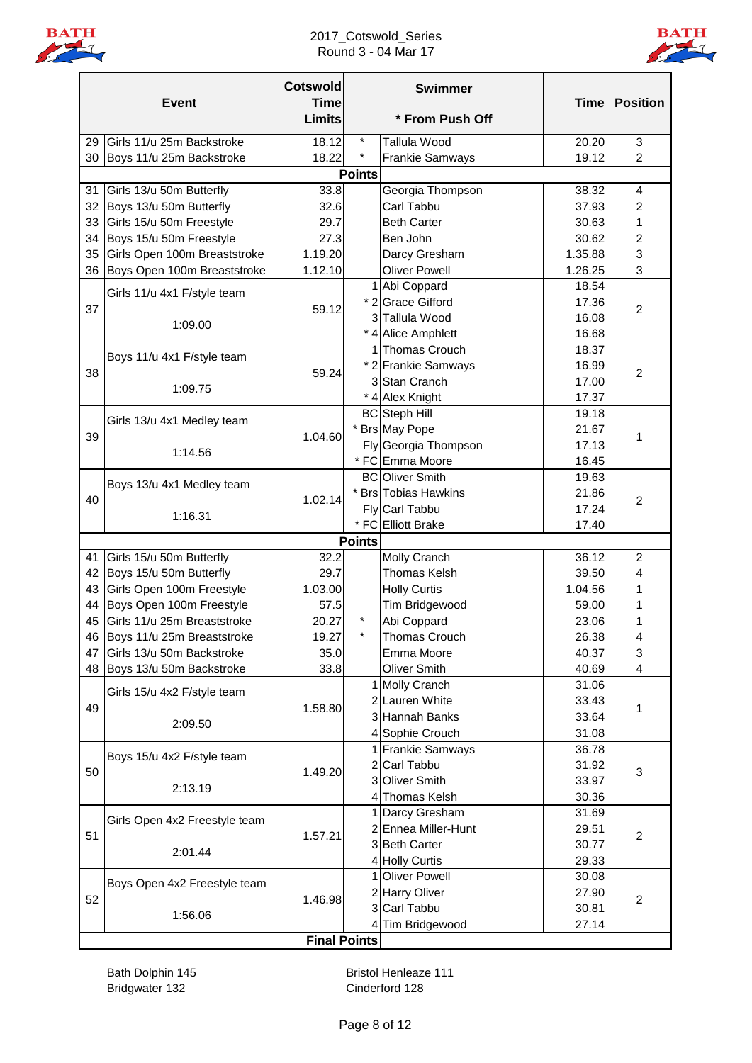

### 2017\_Cotswold\_Series Round 3 - 04 Mar 17



|    | <b>Event</b>                  | <b>Cotswold</b><br><b>Time</b> |               | <b>Swimmer</b>                     | <b>Time</b>    | <b>Position</b> |
|----|-------------------------------|--------------------------------|---------------|------------------------------------|----------------|-----------------|
|    |                               | <b>Limits</b>                  |               | * From Push Off                    |                |                 |
| 29 | Girls 11/u 25m Backstroke     | 18.12                          | $\star$       | <b>Tallula Wood</b>                | 20.20          | 3               |
| 30 | Boys 11/u 25m Backstroke      | 18.22                          | $\star$       | <b>Frankie Samways</b>             | 19.12          | $\overline{c}$  |
|    |                               |                                | <b>Points</b> |                                    |                |                 |
| 31 | Girls 13/u 50m Butterfly      | 33.8                           |               | Georgia Thompson                   | 38.32          | $\overline{4}$  |
| 32 | Boys 13/u 50m Butterfly       | 32.6                           |               | Carl Tabbu                         | 37.93          | $\overline{c}$  |
| 33 | Girls 15/u 50m Freestyle      | 29.7                           |               | <b>Beth Carter</b>                 | 30.63          | 1               |
| 34 | Boys 15/u 50m Freestyle       | 27.3                           |               | Ben John                           | 30.62          | 2               |
| 35 | Girls Open 100m Breaststroke  | 1.19.20                        |               | Darcy Gresham                      | 1.35.88        | 3               |
| 36 | Boys Open 100m Breaststroke   | 1.12.10                        |               | <b>Oliver Powell</b>               | 1.26.25        | 3               |
|    | Girls 11/u 4x1 F/style team   |                                |               | 1 Abi Coppard<br>* 2 Grace Gifford | 18.54          |                 |
| 37 |                               | 59.12                          |               | 3 Tallula Wood                     | 17.36<br>16.08 | $\overline{c}$  |
|    | 1:09.00                       |                                |               | * 4 Alice Amphlett                 | 16.68          |                 |
|    |                               |                                |               | 1 Thomas Crouch                    | 18.37          |                 |
|    | Boys 11/u 4x1 F/style team    |                                |               | * 2 Frankie Samways                | 16.99          |                 |
| 38 |                               | 59.24                          |               | 3 Stan Cranch                      | 17.00          | $\overline{2}$  |
|    | 1:09.75                       |                                |               | * 4 Alex Knight                    | 17.37          |                 |
|    |                               |                                |               | <b>BC</b> Steph Hill               | 19.18          |                 |
|    | Girls 13/u 4x1 Medley team    |                                |               | <b>Brs</b> May Pope                | 21.67          |                 |
| 39 |                               | 1.04.60                        |               | Fly Georgia Thompson               | 17.13          | 1               |
|    | 1:14.56                       |                                |               | * FC Emma Moore                    | 16.45          |                 |
|    |                               |                                |               | <b>BC</b> Oliver Smith             | 19.63          |                 |
|    | Boys 13/u 4x1 Medley team     |                                |               | <b>Brs</b> Tobias Hawkins          | 21.86          |                 |
| 40 |                               | 1.02.14                        |               | Fly Carl Tabbu                     | 17.24          | $\overline{c}$  |
|    | 1:16.31                       |                                |               | * FC Elliott Brake                 | 17.40          |                 |
|    |                               |                                | <b>Points</b> |                                    |                |                 |
| 41 | Girls 15/u 50m Butterfly      | 32.2                           |               | Molly Cranch                       | 36.12          | $\overline{c}$  |
| 42 | Boys 15/u 50m Butterfly       | 29.7                           |               | Thomas Kelsh                       | 39.50          | 4               |
| 43 | Girls Open 100m Freestyle     | 1.03.00                        |               | <b>Holly Curtis</b>                | 1.04.56        | 1               |
| 44 | Boys Open 100m Freestyle      | 57.5                           |               | Tim Bridgewood                     | 59.00          | 1               |
| 45 | Girls 11/u 25m Breaststroke   | 20.27                          |               | Abi Coppard                        | 23.06          | 1               |
|    | 46 Boys 11/u 25m Breaststroke | 19.27                          |               | Thomas Crouch                      | 26.38          |                 |
| 47 | Girls 13/u 50m Backstroke     | 35.0                           |               | Emma Moore                         | 40.37          | 3               |
| 48 | Boys 13/u 50m Backstroke      | 33.8                           |               | Oliver Smith                       | 40.69          | 4               |
|    | Girls 15/u 4x2 F/style team   |                                |               | 1 Molly Cranch                     | 31.06          |                 |
| 49 |                               | 1.58.80                        |               | 2 Lauren White                     | 33.43          | 1               |
|    | 2:09.50                       |                                |               | 3 Hannah Banks                     | 33.64          |                 |
|    |                               |                                |               | 4 Sophie Crouch                    | 31.08          |                 |
|    | Boys 15/u 4x2 F/style team    |                                |               | 1 Frankie Samways                  | 36.78          |                 |
| 50 |                               | 1.49.20                        |               | 2 Carl Tabbu                       | 31.92          | 3               |
|    | 2:13.19                       |                                |               | 3 Oliver Smith                     | 33.97          |                 |
|    |                               |                                |               | 4 Thomas Kelsh                     | 30.36          |                 |
|    | Girls Open 4x2 Freestyle team |                                |               | 1 Darcy Gresham                    | 31.69          |                 |
| 51 |                               | 1.57.21                        |               | 2 Ennea Miller-Hunt                | 29.51          | $\overline{c}$  |
|    | 2:01.44                       |                                |               | 3 Beth Carter                      | 30.77          |                 |
|    |                               |                                |               | 4 Holly Curtis                     | 29.33          |                 |
|    | Boys Open 4x2 Freestyle team  |                                |               | <b>Oliver Powell</b>               | 30.08          |                 |
| 52 |                               | 1.46.98                        | 3             | 2 Harry Oliver<br>Carl Tabbu       | 27.90          | $\overline{c}$  |
|    | 1:56.06                       |                                |               |                                    | 30.81<br>27.14 |                 |
|    |                               | <b>Final Points</b>            |               | 4 Tim Bridgewood                   |                |                 |
|    |                               |                                |               |                                    |                |                 |

Bridgwater 132 Cinderford 128

Bath Dolphin 145 **Bristol Henleaze 111**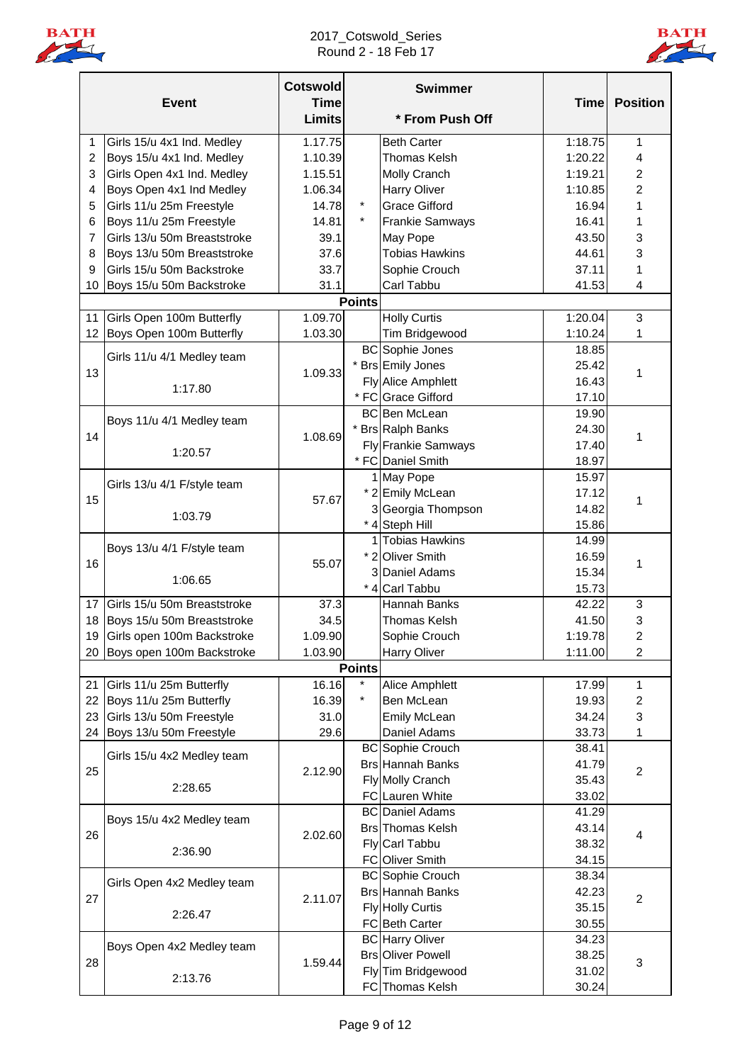

### 2017\_Cotswold\_Series Round 2 - 18 Feb 17



|    | <b>Event</b>                  | <b>Cotswold</b><br><b>Time</b><br><b>Limits</b> |               | <b>Swimmer</b><br>* From Push Off | <b>Time</b> | <b>Position</b>           |
|----|-------------------------------|-------------------------------------------------|---------------|-----------------------------------|-------------|---------------------------|
|    |                               |                                                 |               |                                   |             |                           |
| 1  | Girls 15/u 4x1 Ind. Medley    | 1.17.75                                         |               | <b>Beth Carter</b>                | 1:18.75     | 1                         |
| 2  | Boys 15/u 4x1 Ind. Medley     | 1.10.39                                         |               | Thomas Kelsh                      | 1:20.22     | $\overline{4}$            |
| 3  | Girls Open 4x1 Ind. Medley    | 1.15.51                                         |               | Molly Cranch                      | 1:19.21     | 2                         |
| 4  | Boys Open 4x1 Ind Medley      | 1.06.34                                         |               | <b>Harry Oliver</b>               | 1:10.85     | $\overline{c}$            |
| 5  | Girls 11/u 25m Freestyle      | 14.78                                           | $\star$       | <b>Grace Gifford</b>              | 16.94       | 1                         |
| 6  | Boys 11/u 25m Freestyle       | 14.81                                           |               | <b>Frankie Samways</b>            | 16.41       | 1                         |
| 7  | Girls 13/u 50m Breaststroke   | 39.1                                            |               | May Pope                          | 43.50       | 3                         |
| 8  | Boys 13/u 50m Breaststroke    | 37.6                                            |               | <b>Tobias Hawkins</b>             | 44.61       | 3                         |
| 9  | Girls 15/u 50m Backstroke     | 33.7                                            |               | Sophie Crouch                     | 37.11       | 1                         |
| 10 | Boys 15/u 50m Backstroke      | 31.1                                            |               | Carl Tabbu                        | 41.53       | 4                         |
|    |                               |                                                 | <b>Points</b> |                                   |             |                           |
| 11 | Girls Open 100m Butterfly     | 1.09.70                                         |               | <b>Holly Curtis</b>               | 1:20.04     | $\mathfrak{B}$            |
| 12 | Boys Open 100m Butterfly      | 1.03.30                                         |               | Tim Bridgewood                    | 1:10.24     | 1                         |
|    | Girls 11/u 4/1 Medley team    |                                                 |               | <b>BC</b> Sophie Jones            | 18.85       |                           |
| 13 |                               | 1.09.33                                         |               | * Brs Emily Jones                 | 25.42       | 1                         |
|    | 1:17.80                       |                                                 |               | Fly Alice Amphlett                | 16.43       |                           |
|    |                               |                                                 |               | * FC Grace Gifford                | 17.10       |                           |
|    | Boys 11/u 4/1 Medley team     |                                                 |               | <b>BC</b> Ben McLean              | 19.90       |                           |
| 14 |                               | 1.08.69                                         |               | * Brs Ralph Banks                 | 24.30       | 1                         |
|    | 1:20.57                       |                                                 |               | <b>Fly Frankie Samways</b>        | 17.40       |                           |
|    |                               |                                                 |               | * FC Daniel Smith                 | 18.97       |                           |
|    | Girls 13/u 4/1 F/style team   |                                                 |               | 1 May Pope                        | 15.97       |                           |
| 15 |                               | 57.67                                           |               | * 2 Emily McLean                  | 17.12       | 1                         |
|    | 1:03.79                       |                                                 |               | 3 Georgia Thompson                | 14.82       |                           |
|    |                               |                                                 |               | * 4 Steph Hill                    | 15.86       |                           |
|    | Boys 13/u 4/1 F/style team    |                                                 |               | 1 Tobias Hawkins                  | 14.99       |                           |
| 16 |                               | 55.07                                           |               | * 2 Oliver Smith                  | 16.59       | 1                         |
|    | 1:06.65                       |                                                 |               | 3 Daniel Adams                    | 15.34       |                           |
|    |                               |                                                 |               | * 4 Carl Tabbu                    | 15.73       |                           |
| 17 | Girls 15/u 50m Breaststroke   | 37.3                                            |               | Hannah Banks                      | 42.22       | 3                         |
| 18 | Boys 15/u 50m Breaststroke    | 34.5                                            |               | <b>Thomas Kelsh</b>               | 41.50       | 3                         |
|    | 19 Girls open 100m Backstroke | 1.09.90                                         |               | Sophie Crouch                     | 1:19.78     | $\overline{2}$            |
|    | 20 Boys open 100m Backstroke  | 1.03.90                                         |               | <b>Harry Oliver</b>               | 1:11.00     | $\overline{2}$            |
|    |                               |                                                 | <b>Points</b> |                                   |             |                           |
| 21 | Girls 11/u 25m Butterfly      | 16.16                                           | $\star$       | <b>Alice Amphlett</b>             | 17.99       | 1                         |
| 22 | Boys 11/u 25m Butterfly       | 16.39                                           | $\star$       | Ben McLean                        | 19.93       | $\overline{c}$            |
| 23 | Girls 13/u 50m Freestyle      | 31.0                                            |               | <b>Emily McLean</b>               | 34.24       | $\ensuremath{\mathsf{3}}$ |
|    | 24 Boys 13/u 50m Freestyle    | 29.6                                            |               | Daniel Adams                      | 33.73       | 1                         |
|    | Girls 15/u 4x2 Medley team    |                                                 |               | <b>BC</b> Sophie Crouch           | 38.41       |                           |
| 25 |                               | 2.12.90                                         |               | <b>Brs Hannah Banks</b>           | 41.79       | $\sqrt{2}$                |
|    | 2:28.65                       |                                                 |               | <b>Fly Molly Cranch</b>           | 35.43       |                           |
|    |                               |                                                 |               | FC Lauren White                   | 33.02       |                           |
|    | Boys 15/u 4x2 Medley team     |                                                 |               | <b>BC</b> Daniel Adams            | 41.29       |                           |
| 26 |                               | 2.02.60                                         |               | <b>Brs</b> Thomas Kelsh           | 43.14       | 4                         |
|    | 2:36.90                       |                                                 |               | Fly Carl Tabbu                    | 38.32       |                           |
|    |                               |                                                 |               | FC Oliver Smith                   | 34.15       |                           |
|    | Girls Open 4x2 Medley team    |                                                 |               | <b>BC</b> Sophie Crouch           | 38.34       |                           |
| 27 |                               | 2.11.07                                         |               | <b>Brs Hannah Banks</b>           | 42.23       | $\overline{2}$            |
|    | 2:26.47                       |                                                 |               | <b>Fly Holly Curtis</b>           | 35.15       |                           |
|    |                               |                                                 |               | FC Beth Carter                    | 30.55       |                           |
|    | Boys Open 4x2 Medley team     |                                                 |               | <b>BC</b> Harry Oliver            | 34.23       |                           |
| 28 |                               | 1.59.44                                         |               | <b>Brs Oliver Powell</b>          | 38.25       | $\sqrt{3}$                |
|    | 2:13.76                       |                                                 |               | Fly Tim Bridgewood                | 31.02       |                           |
|    |                               |                                                 |               | FC Thomas Kelsh                   | 30.24       |                           |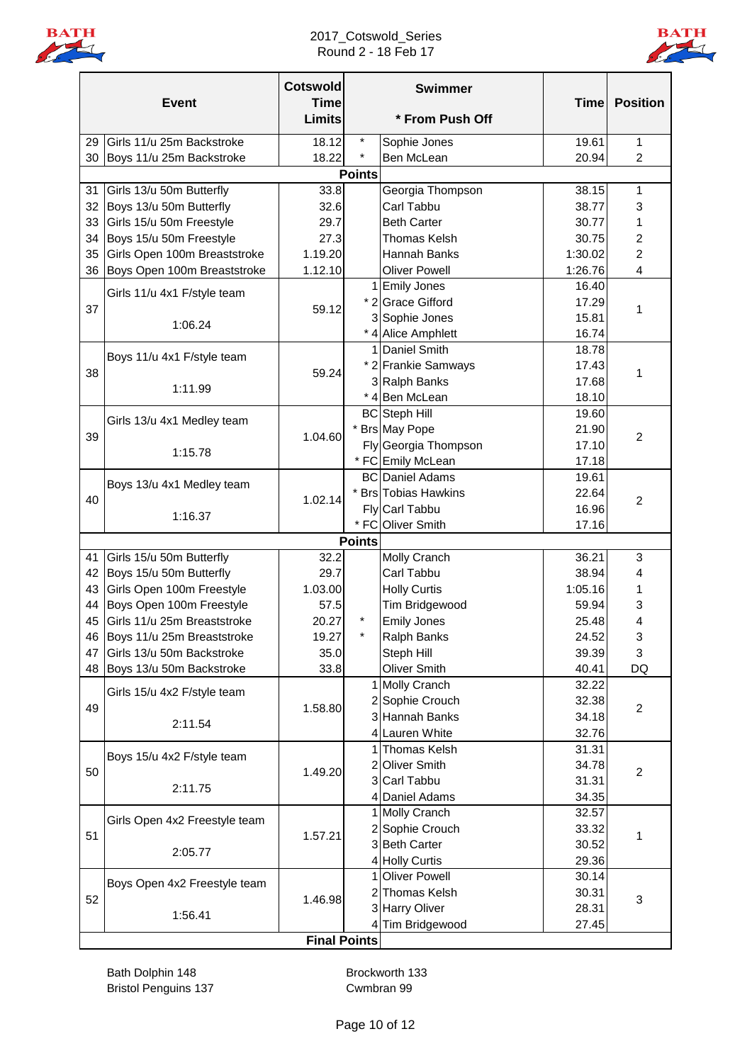

2017\_Cotswold\_Series Round 2 - 18 Feb 17



|    | <b>Event</b>                  | <b>Cotswold</b><br><b>Time</b><br><b>Limits</b> |               | <b>Swimmer</b><br>* From Push Off | <b>Time</b> | <b>Position</b> |
|----|-------------------------------|-------------------------------------------------|---------------|-----------------------------------|-------------|-----------------|
| 29 | Girls 11/u 25m Backstroke     | 18.12                                           | $\star$       |                                   | 19.61       | $\mathbf{1}$    |
| 30 |                               | 18.22                                           | $\star$       | Sophie Jones<br>Ben McLean        | 20.94       | $\overline{c}$  |
|    | Boys 11/u 25m Backstroke      |                                                 | <b>Points</b> |                                   |             |                 |
| 31 | Girls 13/u 50m Butterfly      | 33.8                                            |               | Georgia Thompson                  | 38.15       | 1               |
| 32 | Boys 13/u 50m Butterfly       | 32.6                                            |               | Carl Tabbu                        | 38.77       | 3               |
| 33 | Girls 15/u 50m Freestyle      | 29.7                                            |               | <b>Beth Carter</b>                | 30.77       | 1               |
| 34 | Boys 15/u 50m Freestyle       | 27.3                                            |               | <b>Thomas Kelsh</b>               | 30.75       | 2               |
| 35 | Girls Open 100m Breaststroke  | 1.19.20                                         |               | Hannah Banks                      | 1:30.02     | $\overline{c}$  |
| 36 | Boys Open 100m Breaststroke   | 1.12.10                                         |               | <b>Oliver Powell</b>              | 1:26.76     | 4               |
|    |                               |                                                 |               | 1 Emily Jones                     | 16.40       |                 |
|    | Girls 11/u 4x1 F/style team   |                                                 |               | * 2 Grace Gifford                 | 17.29       |                 |
| 37 |                               | 59.12                                           |               | 3 Sophie Jones                    | 15.81       | 1               |
|    | 1:06.24                       |                                                 |               | * 4 Alice Amphlett                | 16.74       |                 |
|    |                               |                                                 |               | 1 Daniel Smith                    | 18.78       |                 |
|    | Boys 11/u 4x1 F/style team    |                                                 |               | * 2 Frankie Samways               | 17.43       |                 |
| 38 |                               | 59.24                                           |               | 3 Ralph Banks                     | 17.68       | 1               |
|    | 1:11.99                       |                                                 |               | * 4 Ben McLean                    | 18.10       |                 |
|    |                               |                                                 |               | <b>BC</b> Steph Hill              | 19.60       |                 |
|    | Girls 13/u 4x1 Medley team    |                                                 |               | * Brs May Pope                    | 21.90       |                 |
| 39 |                               | 1.04.60                                         |               | Fly Georgia Thompson              | 17.10       | $\overline{2}$  |
|    | 1:15.78                       |                                                 |               | * FC Emily McLean                 | 17.18       |                 |
|    |                               |                                                 |               | <b>BC</b> Daniel Adams            | 19.61       |                 |
|    | Boys 13/u 4x1 Medley team     |                                                 |               | * Brs Tobias Hawkins              | 22.64       |                 |
| 40 |                               | 1.02.14                                         |               | Fly Carl Tabbu                    | 16.96       | $\overline{2}$  |
|    | 1:16.37                       |                                                 |               | * FC Oliver Smith                 | 17.16       |                 |
|    |                               |                                                 | <b>Points</b> |                                   |             |                 |
| 41 | Girls 15/u 50m Butterfly      | 32.2                                            |               | Molly Cranch                      | 36.21       | 3               |
| 42 | Boys 15/u 50m Butterfly       | 29.7                                            |               | Carl Tabbu                        | 38.94       | 4               |
| 43 | Girls Open 100m Freestyle     | 1.03.00                                         |               | <b>Holly Curtis</b>               | 1:05.16     | 1               |
| 44 | Boys Open 100m Freestyle      | 57.5                                            |               | Tim Bridgewood                    | 59.94       | 3               |
| 45 | Girls 11/u 25m Breaststroke   | 20.27                                           | $\ast$        | <b>Emily Jones</b>                | 25.48       | 4               |
|    | 46 Boys 11/u 25m Breaststroke | 19.27                                           |               | <b>Ralph Banks</b>                | 24.52       | 3               |
| 47 | Girls 13/u 50m Backstroke     | 35.0                                            |               | Steph Hill                        | 39.39       | 3               |
| 48 | Boys 13/u 50m Backstroke      | 33.8                                            |               | Oliver Smith                      | 40.41       | DQ              |
|    |                               |                                                 |               | 1 Molly Cranch                    | 32.22       |                 |
|    | Girls 15/u 4x2 F/style team   |                                                 |               | 2 Sophie Crouch                   | 32.38       |                 |
| 49 |                               | 1.58.80                                         |               | 3 Hannah Banks                    | 34.18       | $\overline{2}$  |
|    | 2:11.54                       |                                                 |               | 4 Lauren White                    | 32.76       |                 |
|    |                               |                                                 |               | 1 Thomas Kelsh                    | 31.31       |                 |
| 50 | Boys 15/u 4x2 F/style team    | 1.49.20                                         |               | 2 Oliver Smith                    | 34.78       | $\overline{2}$  |
|    |                               |                                                 |               | 3 Carl Tabbu                      | 31.31       |                 |
|    | 2:11.75                       |                                                 |               | 4 Daniel Adams                    | 34.35       |                 |
|    |                               |                                                 |               | 1 Molly Cranch                    | 32.57       |                 |
| 51 | Girls Open 4x2 Freestyle team | 1.57.21                                         |               | 2 Sophie Crouch                   | 33.32       | 1               |
|    | 2:05.77                       |                                                 |               | 3 Beth Carter                     | 30.52       |                 |
|    |                               |                                                 |               | 4 Holly Curtis                    | 29.36       |                 |
|    | Boys Open 4x2 Freestyle team  |                                                 |               | 1 Oliver Powell                   | 30.14       |                 |
| 52 |                               | 1.46.98                                         |               | 2 Thomas Kelsh                    | 30.31       |                 |
|    | 1:56.41                       |                                                 |               | 3 Harry Oliver                    | 28.31       | $\sqrt{3}$      |
|    |                               |                                                 |               | 4 Tim Bridgewood                  | 27.45       |                 |
|    |                               | <b>Final Points</b>                             |               |                                   |             |                 |

Bath Dolphin 148 Brockworth 133 Bristol Penguins 137 Cwmbran 99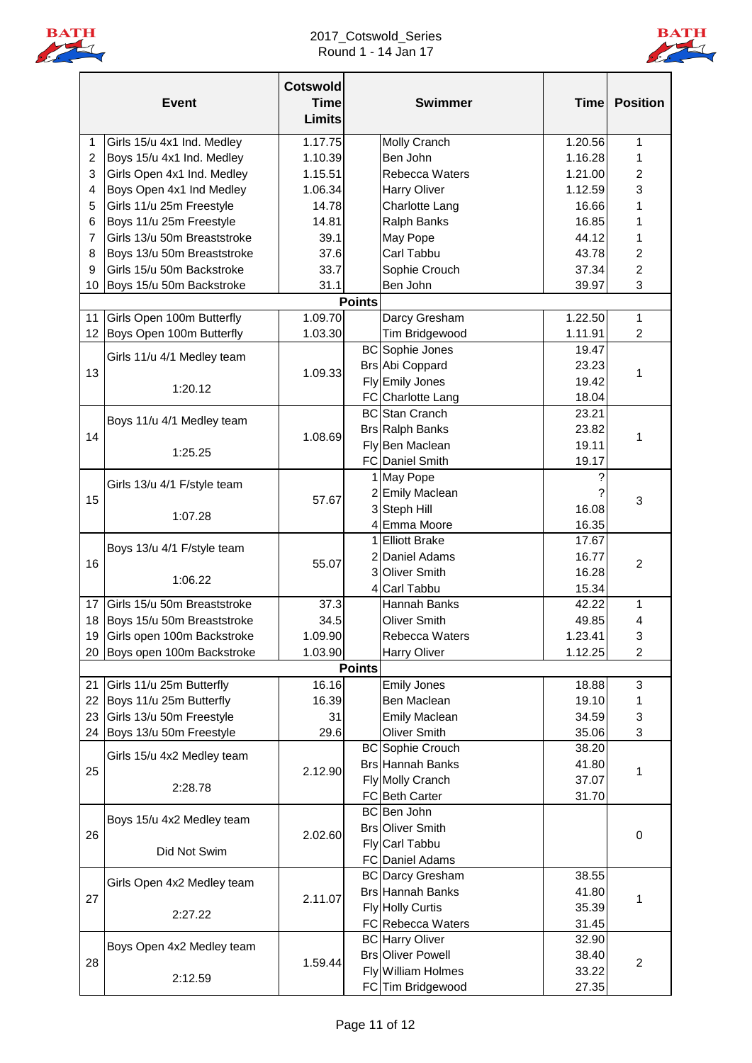

### 2017\_Cotswold\_Series Round 1 - 14 Jan 17



|                | <b>Event</b>                  | <b>Cotswold</b><br><b>Time</b><br><b>Limits</b> |               | <b>Swimmer</b>           | <b>Time</b> | <b>Position</b> |
|----------------|-------------------------------|-------------------------------------------------|---------------|--------------------------|-------------|-----------------|
| 1              | Girls 15/u 4x1 Ind. Medley    | 1.17.75                                         |               | Molly Cranch             | 1.20.56     | 1               |
| $\overline{c}$ | Boys 15/u 4x1 Ind. Medley     | 1.10.39                                         |               | Ben John                 | 1.16.28     | 1               |
| 3              | Girls Open 4x1 Ind. Medley    | 1.15.51                                         |               | Rebecca Waters           | 1.21.00     | $\overline{c}$  |
| 4              | Boys Open 4x1 Ind Medley      | 1.06.34                                         |               | <b>Harry Oliver</b>      | 1.12.59     | 3               |
| 5              | Girls 11/u 25m Freestyle      | 14.78                                           |               | Charlotte Lang           | 16.66       | 1               |
| 6              | Boys 11/u 25m Freestyle       | 14.81                                           |               | <b>Ralph Banks</b>       | 16.85       | 1               |
| 7              | Girls 13/u 50m Breaststroke   | 39.1                                            |               | May Pope                 | 44.12       | 1               |
| 8              | Boys 13/u 50m Breaststroke    | 37.6                                            |               | Carl Tabbu               | 43.78       | 2               |
| 9              | Girls 15/u 50m Backstroke     | 33.7                                            |               | Sophie Crouch            | 37.34       | $\overline{c}$  |
| 10             | Boys 15/u 50m Backstroke      | 31.1                                            |               | Ben John                 | 39.97       | 3               |
|                |                               |                                                 | <b>Points</b> |                          |             |                 |
| 11             | Girls Open 100m Butterfly     | 1.09.70                                         |               | Darcy Gresham            | 1.22.50     | $\mathbf{1}$    |
| 12             | Boys Open 100m Butterfly      | 1.03.30                                         |               | Tim Bridgewood           | 1.11.91     | $\overline{2}$  |
|                | Girls 11/u 4/1 Medley team    |                                                 |               | <b>BC</b> Sophie Jones   | 19.47       |                 |
| 13             |                               | 1.09.33                                         |               | <b>Brs Abi Coppard</b>   | 23.23       | 1               |
|                | 1:20.12                       |                                                 |               | Fly Emily Jones          | 19.42       |                 |
|                |                               |                                                 |               | FC Charlotte Lang        | 18.04       |                 |
|                | Boys 11/u 4/1 Medley team     |                                                 |               | <b>BC</b> Stan Cranch    | 23.21       |                 |
| 14             |                               | 1.08.69                                         |               | <b>Brs Ralph Banks</b>   | 23.82       | 1               |
|                |                               |                                                 |               | Fly Ben Maclean          | 19.11       |                 |
|                | 1:25.25                       |                                                 |               | <b>FC</b> Daniel Smith   | 19.17       |                 |
|                | Girls 13/u 4/1 F/style team   |                                                 |               | 1 May Pope               |             |                 |
| 15             |                               | 57.67                                           |               | 2 Emily Maclean          |             | 3               |
|                | 1:07.28                       |                                                 |               | 3 Steph Hill             | 16.08       |                 |
|                |                               |                                                 |               | 4 Emma Moore             | 16.35       |                 |
|                | Boys 13/u 4/1 F/style team    |                                                 |               | 1 Elliott Brake          | 17.67       |                 |
| 16             |                               | 55.07                                           |               | 2 Daniel Adams           | 16.77       | $\overline{c}$  |
|                | 1:06.22                       |                                                 |               | 3 Oliver Smith           | 16.28       |                 |
|                |                               |                                                 |               | 4 Carl Tabbu             | 15.34       |                 |
| 17             | Girls 15/u 50m Breaststroke   | 37.3                                            |               | Hannah Banks             | 42.22       | 1               |
| 18             | Boys 15/u 50m Breaststroke    | 34.5                                            |               | <b>Oliver Smith</b>      | 49.85       | 4               |
|                | 19 Girls open 100m Backstroke | 1.09.90                                         |               | Rebecca Waters           | 1.23.41     | 3               |
|                | 20 Boys open 100m Backstroke  | 1.03.90                                         |               | <b>Harry Oliver</b>      | 1.12.25     | $\overline{2}$  |
|                |                               |                                                 | <b>Points</b> |                          |             |                 |
| 21             | Girls 11/u 25m Butterfly      | 16.16                                           |               | <b>Emily Jones</b>       | 18.88       | 3               |
| 22             | Boys 11/u 25m Butterfly       | 16.39                                           |               | Ben Maclean              | 19.10       | 1               |
| 23             | Girls 13/u 50m Freestyle      | 31                                              |               | <b>Emily Maclean</b>     | 34.59       | 3               |
| 24             | Boys 13/u 50m Freestyle       | 29.6                                            |               | <b>Oliver Smith</b>      | 35.06       | 3               |
|                | Girls 15/u 4x2 Medley team    |                                                 |               | <b>BC</b> Sophie Crouch  | 38.20       |                 |
| 25             |                               | 2.12.90                                         |               | <b>Brs Hannah Banks</b>  | 41.80       | 1               |
|                | 2:28.78                       |                                                 |               | Fly Molly Cranch         | 37.07       |                 |
|                |                               |                                                 |               | FC Beth Carter           | 31.70       |                 |
|                | Boys 15/u 4x2 Medley team     |                                                 |               | BC Ben John              |             |                 |
| 26             |                               | 2.02.60                                         |               | <b>Brs Oliver Smith</b>  |             | 0               |
|                | Did Not Swim                  |                                                 |               | Fly Carl Tabbu           |             |                 |
|                |                               |                                                 |               | <b>FC</b> Daniel Adams   |             |                 |
|                | Girls Open 4x2 Medley team    |                                                 |               | <b>BC</b> Darcy Gresham  | 38.55       |                 |
| 27             |                               | 2.11.07                                         |               | <b>Brs Hannah Banks</b>  | 41.80       | 1               |
|                | 2:27.22                       |                                                 |               | <b>Fly Holly Curtis</b>  | 35.39       |                 |
|                |                               |                                                 |               | FC Rebecca Waters        | 31.45       |                 |
|                | Boys Open 4x2 Medley team     |                                                 |               | <b>BC</b> Harry Oliver   | 32.90       |                 |
| 28             |                               | 1.59.44                                         |               | <b>Brs Oliver Powell</b> | 38.40       | $\overline{c}$  |
|                | 2:12.59                       |                                                 |               | Fly William Holmes       | 33.22       |                 |
|                |                               |                                                 |               | FC Tim Bridgewood        | 27.35       |                 |